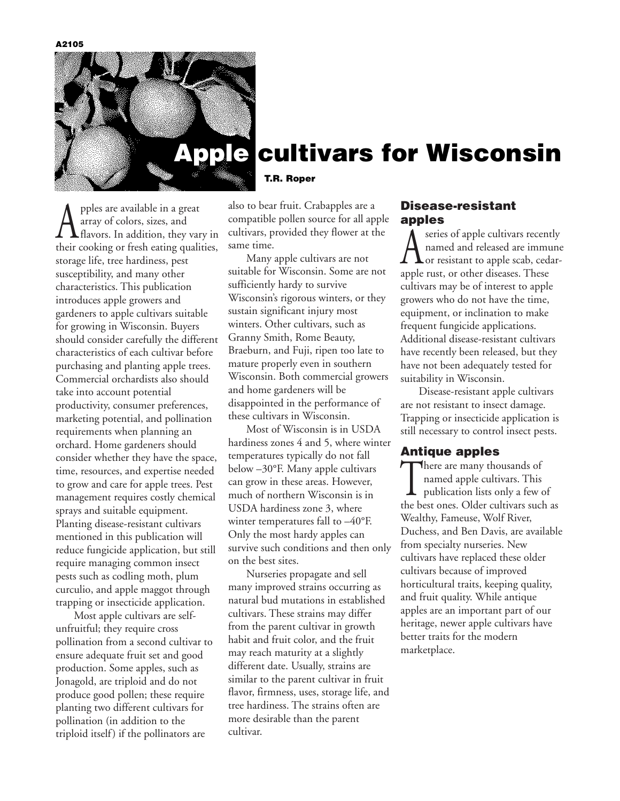**A2105**



# **Apple cultivars for Wisconsin**

pples are available in a great array of colors, sizes, and flavors. In addition, they vary in their cooking or fresh eating qualities, storage life, tree hardiness, pest susceptibility, and many other characteristics. This publication introduces apple growers and gardeners to apple cultivars suitable for growing in Wisconsin. Buyers should consider carefully the different characteristics of each cultivar before purchasing and planting apple trees. Commercial orchardists also should take into account potential productivity, consumer preferences, marketing potential, and pollination requirements when planning an orchard. Home gardeners should consider whether they have the space, time, resources, and expertise needed to grow and care for apple trees. Pest management requires costly chemical sprays and suitable equipment. Planting disease-resistant cultivars mentioned in this publication will reduce fungicide application, but still require managing common insect pests such as codling moth, plum curculio, and apple maggot through trapping or insecticide application.

Most apple cultivars are selfunfruitful; they require cross pollination from a second cultivar to ensure adequate fruit set and good production. Some apples, such as Jonagold, are triploid and do not produce good pollen; these require planting two different cultivars for pollination (in addition to the triploid itself) if the pollinators are

**T.R. Roper** 

also to bear fruit. Crabapples are a compatible pollen source for all apple cultivars, provided they flower at the same time.

Many apple cultivars are not suitable for Wisconsin. Some are not sufficiently hardy to survive Wisconsin's rigorous winters, or they sustain significant injury most winters. Other cultivars, such as Granny Smith, Rome Beauty, Braeburn, and Fuji, ripen too late to mature properly even in southern Wisconsin. Both commercial growers and home gardeners will be disappointed in the performance of these cultivars in Wisconsin.

Most of Wisconsin is in USDA hardiness zones 4 and 5, where winter temperatures typically do not fall below –30°F. Many apple cultivars can grow in these areas. However, much of northern Wisconsin is in USDA hardiness zone 3, where winter temperatures fall to –40°F. Only the most hardy apples can survive such conditions and then only on the best sites.

Nurseries propagate and sell many improved strains occurring as natural bud mutations in established cultivars. These strains may differ from the parent cultivar in growth habit and fruit color, and the fruit may reach maturity at a slightly different date. Usually, strains are similar to the parent cultivar in fruit flavor, firmness, uses, storage life, and tree hardiness. The strains often are more desirable than the parent cultivar.

#### **Disease-resistant apples**

A series of apple cultivars recently<br>
or resistant to apple scab, cedar-<br>
angle gust or other diseases. These named and released are immune apple rust, or other diseases. These cultivars may be of interest to apple growers who do not have the time, equipment, or inclination to make frequent fungicide applications. Additional disease-resistant cultivars have recently been released, but they have not been adequately tested for suitability in Wisconsin.

Disease-resistant apple cultivars are not resistant to insect damage. Trapping or insecticide application is still necessary to control insect pests.

#### **Antique apples**

There are many thousands of<br>named apple cultivars. This<br>publication lists only a few named apple cultivars. This publication lists only a few of the best ones. Older cultivars such as Wealthy, Fameuse, Wolf River, Duchess, and Ben Davis, are available from specialty nurseries. New cultivars have replaced these older cultivars because of improved horticultural traits, keeping quality, and fruit quality. While antique apples are an important part of our heritage, newer apple cultivars have better traits for the modern marketplace.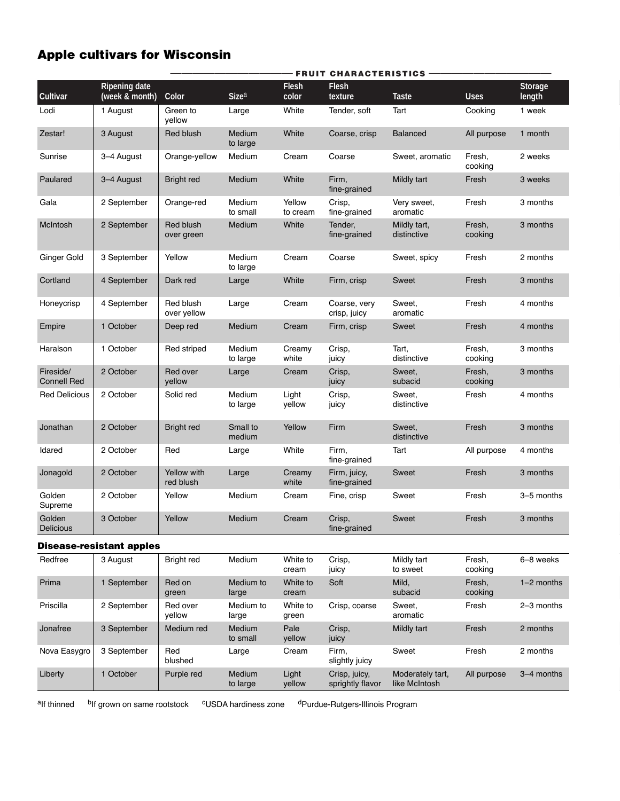### **Apple cultivars for Wisconsin**

|                                 |                                        | <b>FRUIT CHARACTERISTICS -</b>  |                    |                       |                              |                             |                   |                          |  |
|---------------------------------|----------------------------------------|---------------------------------|--------------------|-----------------------|------------------------------|-----------------------------|-------------------|--------------------------|--|
| Cultivar                        | <b>Ripening date</b><br>(week & month) | Color                           | Size <sup>a</sup>  | <b>Flesh</b><br>color | <b>Flesh</b><br>texture      | <b>Taste</b>                | <b>Uses</b>       | <b>Storage</b><br>length |  |
| Lodi                            | 1 August                               | Green to<br>yellow              | Large              | White                 | Tender, soft                 | Tart                        | Cooking           | 1 week                   |  |
| Zestar!                         | 3 August                               | Red blush                       | Medium<br>to large | White                 | Coarse, crisp                | <b>Balanced</b>             | All purpose       | 1 month                  |  |
| Sunrise                         | 3-4 August                             | Orange-yellow                   | Medium             | Cream                 | Coarse                       | Sweet, aromatic             | Fresh,<br>cooking | 2 weeks                  |  |
| Paulared                        | 3-4 August                             | <b>Bright red</b>               | Medium             | White                 | Firm,<br>fine-grained        | Mildly tart                 | Fresh             | 3 weeks                  |  |
| Gala                            | 2 September                            | Orange-red                      | Medium<br>to small | Yellow<br>to cream    | Crisp,<br>fine-grained       | Very sweet,<br>aromatic     | Fresh             | 3 months                 |  |
| McIntosh                        | 2 September                            | Red blush<br>over green         | Medium             | White                 | Tender,<br>fine-grained      | Mildly tart,<br>distinctive | Fresh,<br>cooking | 3 months                 |  |
| Ginger Gold                     | 3 September                            | Yellow                          | Medium<br>to large | Cream                 | Coarse                       | Sweet, spicy                | Fresh             | 2 months                 |  |
| Cortland                        | 4 September                            | Dark red                        | Large              | White                 | Firm, crisp                  | Sweet                       | Fresh             | 3 months                 |  |
| Honeycrisp                      | 4 September                            | Red blush<br>over yellow        | Large              | Cream                 | Coarse, very<br>crisp, juicy | Sweet,<br>aromatic          | Fresh             | 4 months                 |  |
| Empire                          | 1 October                              | Deep red                        | Medium             | Cream                 | Firm, crisp                  | Sweet                       | Fresh             | 4 months                 |  |
| Haralson                        | 1 October                              | Red striped                     | Medium<br>to large | Creamy<br>white       | Crisp,<br>juicy              | Tart,<br>distinctive        | Fresh,<br>cooking | 3 months                 |  |
| Fireside/<br><b>Connell Red</b> | 2 October                              | Red over<br>yellow              | Large              | Cream                 | Crisp,<br>juicy              | Sweet,<br>subacid           | Fresh,<br>cooking | 3 months                 |  |
| <b>Red Delicious</b>            | 2 October                              | Solid red                       | Medium<br>to large | Light<br>yellow       | Crisp,<br>juicy              | Sweet,<br>distinctive       | Fresh             | 4 months                 |  |
| Jonathan                        | 2 October                              | <b>Bright red</b>               | Small to<br>medium | Yellow                | Firm                         | Sweet,<br>distinctive       | Fresh             | 3 months                 |  |
| Idared                          | 2 October                              | Red                             | Large              | White                 | Firm,<br>fine-grained        | Tart                        | All purpose       | 4 months                 |  |
| Jonagold                        | 2 October                              | <b>Yellow with</b><br>red blush | Large              | Creamy<br>white       | Firm, juicy,<br>fine-grained | Sweet                       | Fresh             | 3 months                 |  |
| Golden<br>Supreme               | 2 October                              | Yellow                          | Medium             | Cream                 | Fine, crisp                  | Sweet                       | Fresh             | 3-5 months               |  |
| Golden<br>Delicious             | 3 October                              | Yellow                          | Medium             | Cream                 | Crisp,<br>fine-grained       | Sweet                       | Fresh             | 3 months                 |  |
|                                 | <b>Disease-resistant apples</b>        |                                 |                    |                       |                              |                             |                   |                          |  |
| Redfree                         | 3 August                               | <b>Bright red</b>               | Medium             | White to<br>cream     | Crisp,<br>juicy              | Mildly tart<br>to sweet     | Fresh,<br>cooking | 6-8 weeks                |  |
| Prima                           | 1 September                            | Red on<br>green                 | Medium to<br>large | White to<br>cream     | Soft                         | Mild,<br>subacid            | Fresh,<br>cooking | 1-2 months               |  |
| Priscilla                       | 2 September                            | Red over<br>yellow              | Medium to<br>large | White to<br>green     | Crisp, coarse                | Sweet,<br>aromatic          | Fresh             | 2-3 months               |  |
| Jonafree                        | 3 September                            | Medium red                      | Medium<br>to small | Pale<br>yellow        | Crisp,<br>juicy              | Mildly tart                 | Fresh             | 2 months                 |  |
| Nova Easygro                    | 3 September                            | Red<br>blushed                  | Large              | Cream                 | Firm,<br>slightly juicy      | Sweet                       | Fresh             | 2 months                 |  |

Liberty 1 October Purple red Medium Light Crisp, juicy, Moderately tart, All purpose 3–4 months to large yellow sprightly flavor like McIntosh

alf thinned bIf grown on same rootstock CUSDA hardiness zone dPurdue-Rutgers-Illinois Program

Crisp, juicy,<br>sprightly flavor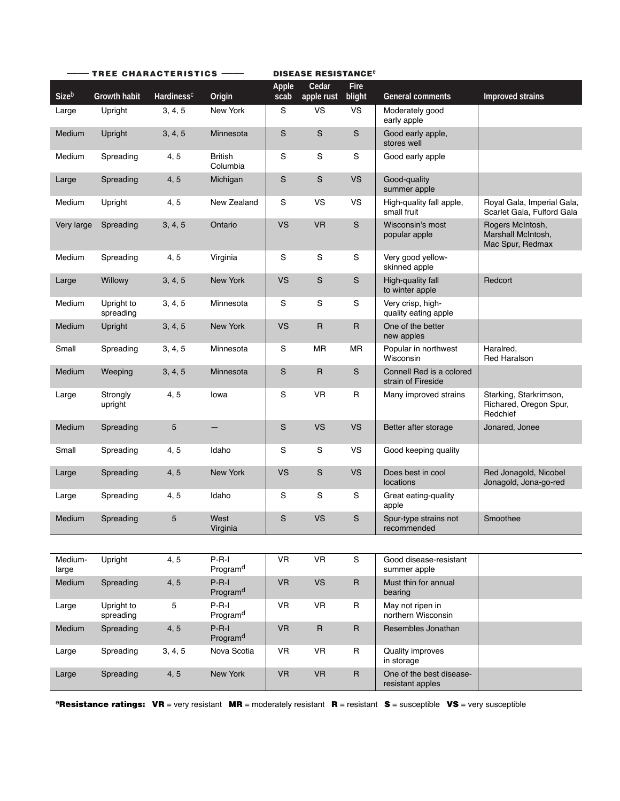| TREE CHARACTERISTICS - |                         |                        |                                 |                      | <b>DISEASE RESISTANCE<sup>e</sup></b> |                |                                                |                                                              |
|------------------------|-------------------------|------------------------|---------------------------------|----------------------|---------------------------------------|----------------|------------------------------------------------|--------------------------------------------------------------|
| Sizeb                  | <b>Growth habit</b>     | Hardiness <sup>c</sup> | Origin                          | <b>Apple</b><br>scab | Cedar<br>apple rust                   | Fire<br>blight | <b>General comments</b>                        | <b>Improved strains</b>                                      |
| Large                  | Upright                 | 3, 4, 5                | New York                        | S                    | <b>VS</b>                             | <b>VS</b>      | Moderately good<br>early apple                 |                                                              |
| Medium                 | Upright                 | 3, 4, 5                | Minnesota                       | S                    | S                                     | ${\mathsf S}$  | Good early apple,<br>stores well               |                                                              |
| Medium                 | Spreading               | 4, 5                   | <b>British</b><br>Columbia      | S                    | $\mathbf S$                           | ${\mathsf S}$  | Good early apple                               |                                                              |
| Large                  | Spreading               | 4, 5                   | Michigan                        | $\mathbf S$          | S                                     | <b>VS</b>      | Good-quality<br>summer apple                   |                                                              |
| Medium                 | Upright                 | 4, 5                   | New Zealand                     | S                    | <b>VS</b>                             | <b>VS</b>      | High-quality fall apple,<br>small fruit        | Royal Gala, Imperial Gala,<br>Scarlet Gala, Fulford Gala     |
| Very large             | Spreading               | 3, 4, 5                | Ontario                         | <b>VS</b>            | <b>VR</b>                             | ${\mathsf S}$  | Wisconsin's most<br>popular apple              | Rogers McIntosh,<br>Marshall McIntosh,<br>Mac Spur, Redmax   |
| Medium                 | Spreading               | 4, 5                   | Virginia                        | S                    | S                                     | S              | Very good yellow-<br>skinned apple             |                                                              |
| Large                  | Willowy                 | 3, 4, 5                | <b>New York</b>                 | <b>VS</b>            | S                                     | ${\mathsf S}$  | High-quality fall<br>to winter apple           | Redcort                                                      |
| Medium                 | Upright to<br>spreading | 3, 4, 5                | Minnesota                       | S                    | S                                     | S              | Very crisp, high-<br>quality eating apple      |                                                              |
| Medium                 | Upright                 | 3, 4, 5                | New York                        | <b>VS</b>            | $\mathsf R$                           | $\mathsf{R}$   | One of the better<br>new apples                |                                                              |
| Small                  | Spreading               | 3, 4, 5                | Minnesota                       | $\mathbf S$          | <b>MR</b>                             | <b>MR</b>      | Popular in northwest<br>Wisconsin              | Haralred,<br><b>Red Haralson</b>                             |
| Medium                 | Weeping                 | 3, 4, 5                | Minnesota                       | $\mathbf S$          | $\mathsf{R}$                          | S              | Connell Red is a colored<br>strain of Fireside |                                                              |
| Large                  | Strongly<br>upright     | 4,5                    | lowa                            | S                    | <b>VR</b>                             | $\mathsf{R}$   | Many improved strains                          | Starking, Starkrimson,<br>Richared, Oregon Spur,<br>Redchief |
| Medium                 | Spreading               | 5                      | $-$                             | $\mathbf S$          | <b>VS</b>                             | <b>VS</b>      | Better after storage                           | Jonared, Jonee                                               |
| Small                  | Spreading               | 4,5                    | Idaho                           | S                    | S                                     | <b>VS</b>      | Good keeping quality                           |                                                              |
| Large                  | Spreading               | 4, 5                   | New York                        | <b>VS</b>            | $\mathbf S$                           | <b>VS</b>      | Does best in cool<br>locations                 | Red Jonagold, Nicobel<br>Jonagold, Jona-go-red               |
| Large                  | Spreading               | 4, 5                   | Idaho                           | S                    | S                                     | S              | Great eating-quality<br>apple                  |                                                              |
| Medium                 | Spreading               | 5                      | West<br>Virginia                | $\mathbf S$          | <b>VS</b>                             | S              | Spur-type strains not<br>recommended           | Smoothee                                                     |
|                        |                         |                        |                                 |                      |                                       |                |                                                |                                                              |
| Medium-<br>large       | Upright                 | 4, 5                   | $P-R-I$<br>Program <sup>d</sup> | VR                   | <b>VR</b>                             | ${\bf S}$      | Good disease-resistant<br>summer apple         |                                                              |
| Medium                 | Spreading               | 4, 5                   | $P-R-I$<br>Program <sup>d</sup> | <b>VR</b>            | <b>VS</b>                             | $\mathsf{R}$   | Must thin for annual<br>bearing                |                                                              |
| Large                  | Upright to<br>spreading | 5                      | $P-R-I$<br>Program <sup>d</sup> | <b>VR</b>            | <b>VR</b>                             | R              | May not ripen in<br>northern Wisconsin         |                                                              |
| Medium                 | Spreading               | 4, 5                   | $P-R-I$<br>Program <sup>d</sup> | <b>VR</b>            | $\mathsf R$                           | $\sf R$        | Resembles Jonathan                             |                                                              |
| Large                  | Spreading               | 3, 4, 5                | Nova Scotia                     | VR                   | <b>VR</b>                             | R              | Quality improves<br>in storage                 |                                                              |
| Large                  | Spreading               | 4, 5                   | New York                        | <b>VR</b>            | <b>VR</b>                             | $\mathsf{R}$   | One of the best disease-<br>resistant apples   |                                                              |

<sup>e</sup>**Resistance ratings: VR** = very resistant **MR** = moderately resistant **R** = resistant **S** = susceptible **VS** = very susceptible